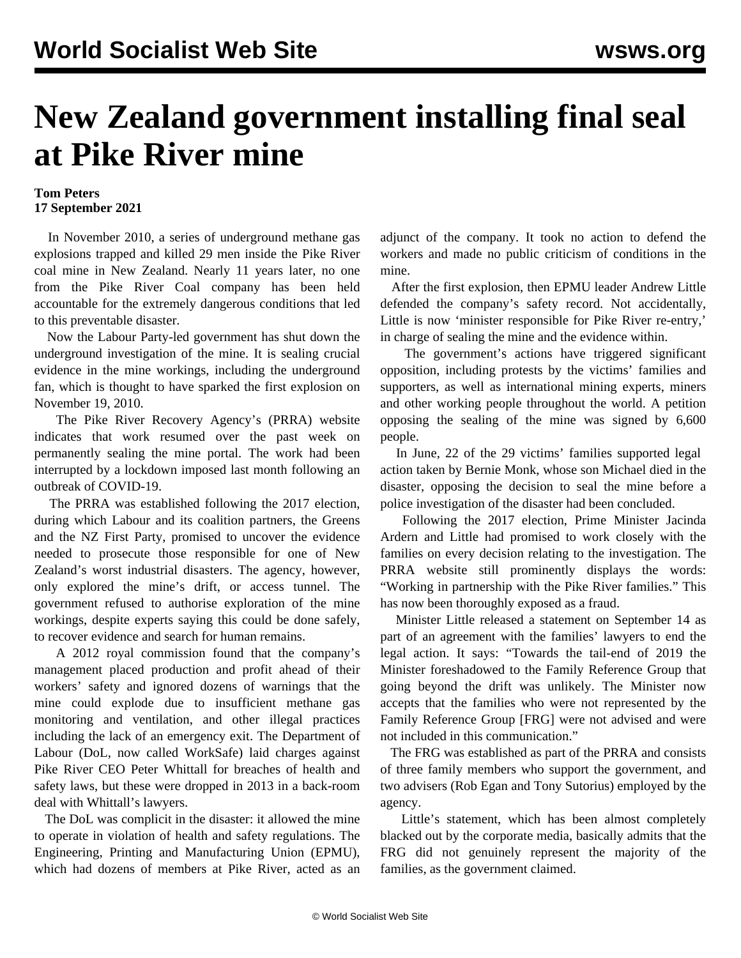## **New Zealand government installing final seal at Pike River mine**

## **Tom Peters 17 September 2021**

 In November 2010, a series of underground methane gas explosions trapped and killed 29 men inside the Pike River coal mine in New Zealand. Nearly 11 years later, no one from the Pike River Coal company has been held accountable for the extremely dangerous conditions that led to this preventable disaster.

 Now the Labour Party-led government has shut down the underground investigation of the mine. It is sealing crucial evidence in the mine workings, including the underground fan, which is thought to have sparked the first explosion on November 19, 2010.

 The Pike River Recovery Agency's (PRRA) website indicates that work resumed over the past week on permanently sealing the mine portal. The work had been interrupted by a lockdown imposed last month following an outbreak of COVID-19.

 The PRRA was established following the 2017 election, during which Labour and its coalition partners, the Greens and the NZ First Party, promised to uncover the evidence needed to prosecute those responsible for one of New Zealand's worst industrial disasters. The agency, however, only explored the mine's drift, or access tunnel. The government refused to authorise exploration of the mine workings, despite experts saying this could be done safely, to recover evidence and search for human remains.

 A 2012 royal commission found that the company's management placed production and profit ahead of their workers' safety and ignored dozens of warnings that the mine could explode due to insufficient methane gas monitoring and ventilation, and other illegal practices including the lack of an emergency exit. The Department of Labour (DoL, now called WorkSafe) laid charges against Pike River CEO Peter Whittall for breaches of health and safety laws, but these were dropped in 2013 in a back-room deal with Whittall's lawyers.

 The DoL was complicit in the disaster: it allowed the mine to operate in violation of health and safety regulations. The Engineering, Printing and Manufacturing Union (EPMU), which had dozens of members at Pike River, acted as an adjunct of the company. It took no action to defend the workers and made no public criticism of conditions in the mine.

 After the first explosion, then EPMU leader Andrew Little defended the company's safety record. Not accidentally, Little is now 'minister responsible for Pike River re-entry,' in charge of sealing the mine and the evidence within.

 The government's actions have triggered significant opposition, including protests by the victims' families and supporters, as well as international mining experts, miners and other working people throughout the world. A [petition](https://www.change.org/p/prime-minister-help-stop-critical-evidence-in-pike-river-mine-from-being-locked-away-for-ever) opposing the sealing of the mine was signed by 6,600 people.

 In June, 22 of the 29 victims' families supported [legal](/en/articles/2021/06/07/pike-j07.html) [action](/en/articles/2021/06/07/pike-j07.html) taken by Bernie Monk, whose son Michael died in the disaster, opposing the decision to seal the mine before a police investigation of the disaster had been concluded.

 Following the 2017 election, Prime Minister Jacinda Ardern and Little had promised to work closely with the families on every decision relating to the investigation. The PRRA website still prominently displays the words: "Working in partnership with the Pike River families." This has now been thoroughly exposed as a fraud.

 Minister Little released a [statement](https://www.beehive.govt.nz/release/joint-statement-mr-bernard-monk-hon-andrew-little-minister-responsible-pike-river-re-entry) on September 14 as part of an agreement with the families' lawyers to end the legal action. It says: "Towards the tail-end of 2019 the Minister foreshadowed to the Family Reference Group that going beyond the drift was unlikely. The Minister now accepts that the families who were not represented by the Family Reference Group [FRG] were not advised and were not included in this communication."

 The FRG was established as part of the PRRA and consists of three family members who support the government, and two advisers (Rob Egan and Tony Sutorius) employed by the agency.

 Little's statement, which has been almost completely blacked out by the corporate media, basically admits that the FRG did not genuinely represent the majority of the families, as the government claimed.